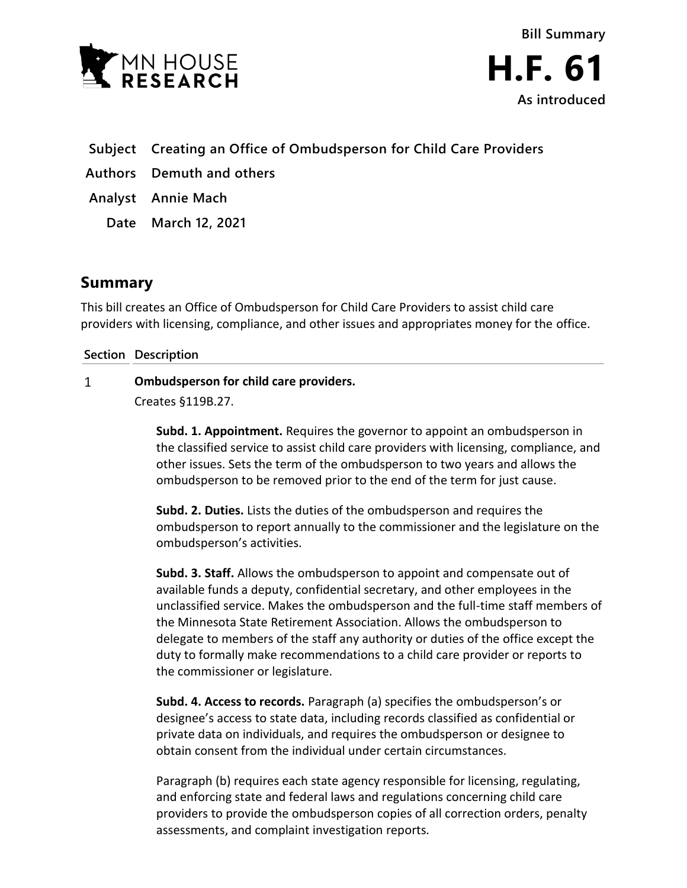



- **Subject Creating an Office of Ombudsperson for Child Care Providers**
- **Authors Demuth and others**
- **Analyst Annie Mach**
	- **Date March 12, 2021**

# **Summary**

This bill creates an Office of Ombudsperson for Child Care Providers to assist child care providers with licensing, compliance, and other issues and appropriates money for the office.

## **Section Description**

### $\mathbf{1}$ **Ombudsperson for child care providers.**

Creates §119B.27.

**Subd. 1. Appointment.** Requires the governor to appoint an ombudsperson in the classified service to assist child care providers with licensing, compliance, and other issues. Sets the term of the ombudsperson to two years and allows the ombudsperson to be removed prior to the end of the term for just cause.

**Subd. 2. Duties.** Lists the duties of the ombudsperson and requires the ombudsperson to report annually to the commissioner and the legislature on the ombudsperson's activities.

**Subd. 3. Staff.** Allows the ombudsperson to appoint and compensate out of available funds a deputy, confidential secretary, and other employees in the unclassified service. Makes the ombudsperson and the full-time staff members of the Minnesota State Retirement Association. Allows the ombudsperson to delegate to members of the staff any authority or duties of the office except the duty to formally make recommendations to a child care provider or reports to the commissioner or legislature.

**Subd. 4. Access to records.** Paragraph (a) specifies the ombudsperson's or designee's access to state data, including records classified as confidential or private data on individuals, and requires the ombudsperson or designee to obtain consent from the individual under certain circumstances.

Paragraph (b) requires each state agency responsible for licensing, regulating, and enforcing state and federal laws and regulations concerning child care providers to provide the ombudsperson copies of all correction orders, penalty assessments, and complaint investigation reports.